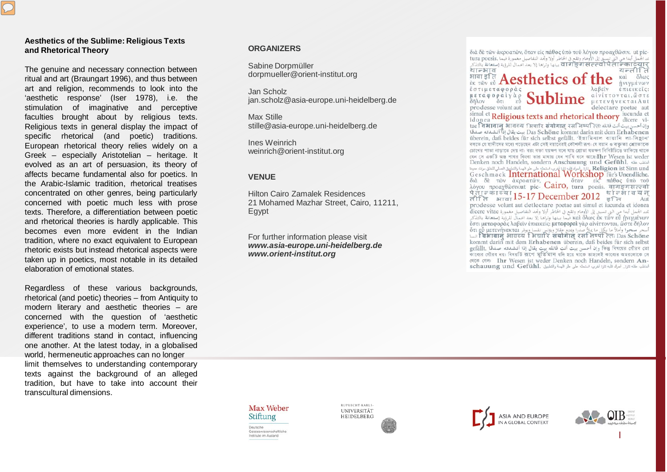#### **Aesthetics of the Sublime: Religious Texts and Rhetorical Theory**

The genuine and necessary connection between ritual and art (Braungart 1996), and thus between art and religion, recommends to look into the 'aesthetic response' (Iser 1978), i.e. the stimulation of imaginative and perceptive faculties brought about by religious texts. Religious texts in general display the impact of specific rhetorical (and poetic) traditions. European rhetorical theory relies widely on a Greek – especially Aristotelian – heritage. It evolved as an art of persuasion, its theory of affects became fundamental also for poetics. In the Arabic-Islamic tradition, rhetorical treatises concentrated on other genres, being particularly concerned with poetic much less with prose texts. Therefore, a differentiation between poetic and rhetorical theories is hardly applicable. This becomes even more evident in the Indian tradition, where no exact equivalent to European rhetoric exists but instead rhetorical aspects were taken up in poetics, most notable in its detailed elaboration of emotional states.

Regardless of these various backgrounds, rhetorical (and poetic) theories – from Antiquity to modern literary and aesthetic theories – are concerned with the question of 'aesthetic experience', to use a modern term. Moreover, different traditions stand in contact, influencing one another. At the latest today, in a globalised world, hermeneutic approaches can no longer limit themselves to understanding contemporary texts against the background of an alleged tradition, but have to take into account their transcultural dimensions.

## **ORGANIZERS**

Sabine Dorpmüller dorpmueller@orient-institut.org

Jan Scholz jan.scholz@asia-europe.uni-heidelberg.de

Max Stille stille@asia-europe.uni-heidelberg.de

Ines Weinrich weinrich@orient-institut.org

## **VENUE**

Hilton Cairo Zamalek Residences 21 Mohamed Mazhar Street, Cairo, 11211, Egypt

For further information please visit *www.asia-europe.uni-heidelberg.de www.orient-institut.org*

í

διά δε των άκροατών, όταν είς πάθος ύπο του λόγου προαγθώσιν, ut pic-ند الجمل أبدا هي التي تسبق إلى الأوهام وتقع في الخاطر أولا وتحد التفاصيل مغمورة فيما .tura poesis वागङ्गसंत्त्वपितान्काट्यार् थान्भाव यन्ती त भावा डति ै<sub>क्ष तक हो</sub> तू **Aesthetics** ήνιγμένων έστιμεταφοράς λαβεΐν έπιεικεΐς: μεταφοραίγαρ αίνίττονται, ώστε  $\frac{\mu \epsilon \tau \alpha \varphi \circ \rho \alpha \iota \gamma \alpha \rho}{\delta \bar{\eta} \lambda \sigma \gamma}$  or  $\epsilon \nu$  Sub μετενήνεκται Aut prodesse volunt aut delectare poetae aut simul et Religious texts and rhetorical theory iucunda et idonea Religious texts and rhetorical theory dicere vi-وان أحسن بيت أنت فائله: tae विभावान भावव्य भिचारि संयोगात रसलिष्पतिः Das Schöne kommt darin mit dem Erhabenen بيت يقال إذا أنشدته صدقا überein, daß beides für sich selbst gefällt. 'ইয়ামিনাল বায়ানি লা-সিহান' বলতে যে হাদীসের মধ্যে পড়েছেন এটা সেই বয়ানেরই কৌশলী রূপ। যে বয়ান ও বক্তৃতা শ্রোতাকে

চোখের পাতা নাড়াতে দেয় না। বরং বক্তা যয়ক্ষণ বলে যায় শ্রোতা যতক্ষণ নিবিষ্টচিত্তে তাকিয়ে থাকে यन म अकड़ि खड़ भाषत्र किश्वा छात्र प्राथाय यन भाषि बदम खाट्य। Ihr Wesen ist weder Denken noch Handeln, sondern Anschauung und Gefühl. اخلف عقله Religion ist Sinn und بناق العراق هذه الغاري المتعلقة على علو البعدة والتطبيق العملي للخاف مرات عددة Gesch mack  $\overline{\text{International Workshop}}$  für's Unendliche. διά δε των άκροατών, Cairo, όταν είς πάθος ύπό του<br>λόγου προαχθώσιν.ut pic- Cairo, tura poesis. <del>αρειξετικές αλ</del> पेताज्कादया 15-17 December 2012 र्थाज्जेग्वियन्<br>तीति आवा 15-17 December 2012 इति Aut prodesse volunt aut detlectare poetae aut simul et iucunda et idonea تمد الجمل أبدا هي التي تسميق إلى الأوهام وتقع في الخاطر أولا وتجد التفاصيل مغمورة dicere vitae<br>تمد الجمل أبدا هي التي تسميق إلى الأوهام وتقع في الخاطر أولا وتجد التفاصيل للرؤية إستعانة بالتذكر έστι μεταφοράς λαβεϊν έπιεικείς: μεταφοραί γάρ αίνίττονται, ώστε δήλον أسجر سنجوا وأملاً ما يكل ما علا صدر رفت عقلا ويؤتس نفسا ويوان 14 قصور المتابع و 20 قصور المتابع و 20 قصور المت<br>Tas Schöne انسا kommt darin mit dem Erhabenen überein, daß beides für sich selbst gefällt, Galam mit einer mit einer mit einer mit der gefällt, Galam sich einer sich einer sich einer gefällt.<br>The gefällt, Galam sich einer Einer Einer der Steine gefühlt das der der Steine der Steine der Steine der Stei (शतक (शका) Ihr Wesen ist weder Denken noch Handeln, sondern An-أخاطب عقله تارة... أحرك قلبه تارة أخرى، استحثه على علو الهمة والتطبيق schauung und Gefühl.

Max Weber Stiftung Doutsche Geisteswissenschaftliche Institute im Ausland

**RUPRECHT-KARLS UNIVERSITÄT HEIDELBERG**